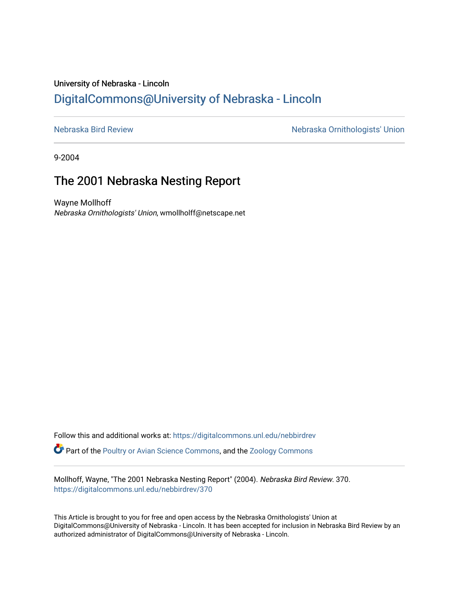## University of Nebraska - Lincoln [DigitalCommons@University of Nebraska - Lincoln](https://digitalcommons.unl.edu/)

[Nebraska Bird Review](https://digitalcommons.unl.edu/nebbirdrev) [Nebraska Ornithologists' Union](https://digitalcommons.unl.edu/nebornithologists) 

9-2004

# The 2001 Nebraska Nesting Report

Wayne Mollhoff Nebraska Ornithologists' Union, wmollholff@netscape.net

Follow this and additional works at: [https://digitalcommons.unl.edu/nebbirdrev](https://digitalcommons.unl.edu/nebbirdrev?utm_source=digitalcommons.unl.edu%2Fnebbirdrev%2F370&utm_medium=PDF&utm_campaign=PDFCoverPages) **C** Part of the [Poultry or Avian Science Commons](http://network.bepress.com/hgg/discipline/80?utm_source=digitalcommons.unl.edu%2Fnebbirdrev%2F370&utm_medium=PDF&utm_campaign=PDFCoverPages), and the Zoology Commons

Mollhoff, Wayne, "The 2001 Nebraska Nesting Report" (2004). Nebraska Bird Review. 370. [https://digitalcommons.unl.edu/nebbirdrev/370](https://digitalcommons.unl.edu/nebbirdrev/370?utm_source=digitalcommons.unl.edu%2Fnebbirdrev%2F370&utm_medium=PDF&utm_campaign=PDFCoverPages)

This Article is brought to you for free and open access by the Nebraska Ornithologists' Union at DigitalCommons@University of Nebraska - Lincoln. It has been accepted for inclusion in Nebraska Bird Review by an authorized administrator of DigitalCommons@University of Nebraska - Lincoln.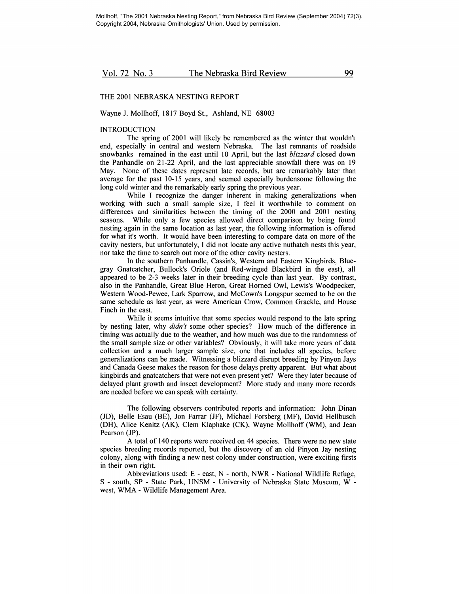## THE 2001 NEBRASKA NESTING REPORT

#### Wayne J. Mollhoff, 1817 Boyd St., Ashland, NE 68003

## **INTRODUCTION**

The spring of 2001 will likely be remembered as the winter that wouldn't end, especially in central and western Nebraska. The last remnants of roadside snowbanks remained in the east until 10 April, but the last *blizzard* closed down the Panhandle on 21-22 April, and the last appreciable snowfall there was on 19 May. None of these dates represent late records, but are remarkably later than average for the past 10-15 years, and seemed especially burdensome following the long cold winter and the remarkably early spring the previous year.

While I recognize the danger inherent in making generalizations when working with such a small sample size, I feel it worthwhile to comment on differences and similarities between the timing of the 2000 and 2001 nesting seasons. While only a few species allowed direct comparison by being found nesting again in the same location as last year, the following information is offered for what it's worth. It would have been interesting to compare data on more of the cavity nesters, but unfortunately, I did not locate any active nuthatch nests this year, nor take the time to search out more of the other cavity nesters.

In the southern Panhandle, Cassin's, Western and Eastern Kingbirds, Bluegray Gnatcatcher, Bullock's Oriole (and Red-winged Blackbird in the east), all appeared to be 2-3 weeks later in their breeding cycle than last year. By contrast, also in the Panhandle, Great Blue Heron, Great Homed Owl, Lewis's Woodpecker, Western Wood-Pewee, Lark Sparrow, and McCown's Longspur seemed to be on the same schedule as last year, as were American Crow, Common Grackle, and House Finch in the east.

While it seems intuitive that some species would respond to the late spring by nesting later, why *didn't* some other species? How much of the difference in timing was actually due to the weather, and how much was due to the randomness of the small sample size or other variables? Obviously, it will take more years of data collection and a much larger sample size, one that includes all species, before generalizations can be made. Witnessing a blizzard disrupt breeding by Pinyon Jays and Canada Geese makes the reason for those delays pretty apparent. But what about kingbirds and gnatcatchers that were not even present yet? Were they later because of delayed plant growth and insect development? More study and many more records are needed before we can speak with certainty.

The following observers contributed reports and information: John Dinan (JD), Belle Esau (BE), Jon Farrar (JF), Michael Forsberg (MF), David Hellbusch (DH), Alice Kenitz (AK), Clem Klaphake (CK), Wayne Mollhoff (WM), and Jean Pearson (JP).

A total of 140 reports were received on 44 species. There were no new state species breeding records reported, but the discovery of an old Pinyon Jay nesting colony, along with finding a new nest colony under construction, were exciting firsts in their own right.

Abbreviations used: E - east, N - north, NWR - National Wildlife Refuge, S - south, SP - State Park, UNSM - University of Nebraska State Museum, W west, WMA - Wildlife Management Area.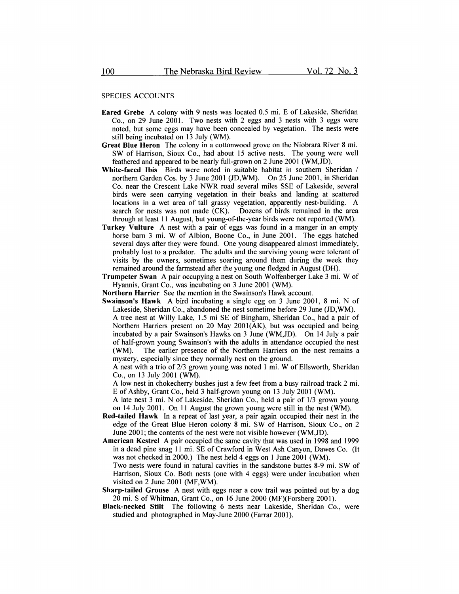#### SPECIES ACCOUNTS

- Eared Grebe A colony with 9 nests was located 0.5 mi. E of Lakeside, Sheridan Co., on 29 June 2001. Two nests with 2 eggs and 3 nests with 3 eggs were noted, but some eggs may have been concealed by vegetation. The nests were still being incubated on 13 July (WM).
- Great Blue Heron The colony in a cottonwood grove on the Niobrara River 8 mi. SW of Harrison, Sioux Co., had about 15 active nests. The young were well feathered and appeared to be nearly full-grown on 2 June 2001 (WM,JD).
- White-faced Ibis Birds were noted in suitable habitat in southern Sheridan / northern Garden Cos. by 3 June 2001 (JD,WM). On 25 June 2001, in Sheridan Co. near the Crescent Lake NWR road several miles SSE of Lakeside, several birds were seen carrying vegetation in their beaks and landing at scattered locations in a wet area of tall grassy vegetation, apparently nest-building. A search for nests was not made (CK). Dozens of birds remained in the area through at least 11 August, but young-of-the-year birds were not reported (WM).
- Turkey Vulture A nest with a pair of eggs was found in a manger in an empty horse barn 3 mi. W of Albion, Boone Co., in June 2001. The eggs hatched several days after they were found. One young disappeared almost immediately, probably lost to a predator. The adults and the surviving young were tolerant of visits by the owners, sometimes soaring around them during the week they remained around the farmstead after the young one fledged in August (DH).
- Trumpeter Swan A pair occupying a nest on South Wolfenberger Lake 3 mi. W of Hyannis, Grant Co., was incubating on 3 June 2001 (WM).
- Northern Harrier See the mention in the Swainson's Hawk account.
- Swainson's Hawk A bird incubating a single egg on 3 June 2001, 8 mi. N of Lakeside, Sheridan Co., abandoned the nest sometime before 29 June (JD,WM). A tree nest at Willy Lake, 1.5 mi SE of Bingham, Sheridan Co., had a pair of Northern Harriers present on 20 May 2001(AK), but was occupied and being incubated by a pair Swainson's Hawks on 3 June (WM,JD). On 14 July a pair of half-grown young Swainson's with the adults in attendance occupied the nest (WM). The earlier presence of the Northern Harriers on the nest remains a

The earlier presence of the Northern Harriers on the nest remains a mystery, especially since they normally nest on the ground.

A nest with a trio of 2/3 grown young was noted 1 mi. W of Ellsworth, Sheridan Co., on 13 July 2001 (WM).

A low nest in chokecherry bushes just a few feet from a busy railroad track 2 mi. E of Ashby, Grant Co., held 3 half-grown young on 13 July 2001 (WM).

- A late nest 3 mi. N of Lakeside, Sheridan Co., held a pair of 1/3 grown young on 14 July 2001. On 11 August the grown young were still in the nest (WM).
- Red-tailed Hawk In a repeat of last year, a pair again occupied their nest in the edge of the Great Blue Heron colony 8 mi. SW of Harrison, Sioux Co., on 2 June 2001; the contents of the nest were not visible however (WM,JD).
- American Kestrel A pair occupied the same cavity that was used in 1998 and 1999 in a dead pine snag 11 mi. SE of Crawford in West Ash Canyon, Dawes Co. (It was not checked in 2000.) The nest held 4 eggs on 1 June 2001 (WM).
- Two nests were found in natural cavities in the sandstone buttes 8-9 mi. SW of Harrison, Sioux Co. Both nests (one with 4 eggs) were under incubation when visited on 2 June 2001 (MF,WM).
- Sharp-tailed Grouse A nest with eggs near a cow trail was pointed out by a dog 20 mi. S of Whitman, Grant Co., on 16 June 2000 (MF)(Forsberg 2001).
- Black-necked Stilt The following 6 nests near Lakeside, Sheridan Co., were studied and photographed in May-June 2000 (Farrar 2001).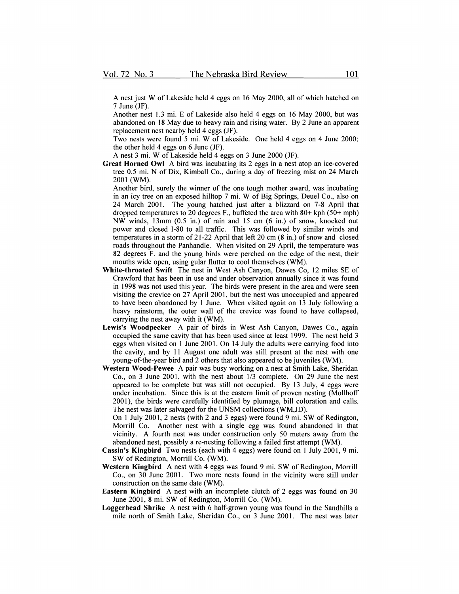A nest just W of Lakeside held 4 eggs on 16 May 2000, all of which hatched on 7 June (JF).

Another nest 1.3 mi. E of Lakeside also held 4 eggs on 16 May 2000, but was abandoned on 18 May due to heavy rain and rising water. By 2 June an apparent replacement nest nearby held 4 eggs (JF).

Two nests were found 5 mi. W of Lakeside. One held 4 eggs on 4 June 2000; the other held 4 eggs on 6 June (JF).

A nest 3 mi. W of Lakeside held 4 eggs on 3 June 2000 (JF).

Great Horned Owl A bird was incubating its 2 eggs in a nest atop an ice-covered tree 0.5 mi. N of Dix, Kimball Co., during a day of freezing mist on 24 March 2001 (WM).

Another bird, surely the winner of the one tough mother award, was incubating in an icy tree on an exposed hilltop 7 mi. W of Big Springs, Deuel Co., also on 24 March 2001. The young hatched just after a blizzard on 7-8 April that dropped temperatures to 20 degrees F., buffeted the area with  $80+$  kph (50+ mph) NW winds, 13mm (0.5 in.) of rain and 15 cm (6 in.) of snow, knocked out power and closed 1-80 to all traffic. This was followed by similar winds and temperatures in a storm of 21-22 April that left 20 cm  $(8 \text{ in.})$  of snow and closed roads throughout the Panhandle. When visited on 29 April, the temperature was 82 degrees F. and the young birds were perched on the edge of the nest, their mouths wide open, using gular flutter to cool themselves (WM).

- White-throated Swift The nest in West Ash Canyon, Dawes Co, 12 miles SE of Crawford that has been in use and under observation annually since it was found in 1998 was not used this year. The birds were present in the area and were seen visiting the crevice on 27 April 2001, but the nest was unoccupied and appeared to have been abandoned by 1 June. When visited again on 13 July following a heavy rainstorm, the outer wall of the crevice was found to have collapsed. carrying the nest away with it (WM).
- Lewis's Woodpecker A pair of birds in West Ash Canvon, Dawes Co., again occupied the same cavity that has been used since at least 1999. The nest held 3 eggs when visited on 1 June 2001. On 14 July the adults were carrying food into the cavity, and by 11 August one adult was still present at the nest with one young-of-the-year bird and 2 others that also appeared to be juveniles (WM).
- Western Wood-Pewee A pair was busy working on a nest at Smith Lake, Sheridan Co., on 3 June 2001, with the nest about 1/3 complete. On 29 June the nest appeared to be complete but was still not occupied. By 13 July, 4 eggs were under incubation. Since this is at the eastern limit of proven nesting (Mollhoff 2001), the birds were carefully identified by plumage, bill coloration and calls. The nest was later salvaged for the UNSM collections (WM,JD).
	- On 1 July 2001, 2 nests (with 2 and 3 eggs) were found 9 mi. SW of Redington, Morrill Co. Another nest with a single egg was found abandoned in that vicinity. A fourth nest was under construction only 50 meters away from the abandoned nest, possibly a re-nesting following a failed first attempt (WM).
- Cassin's Kingbird Two nests (each with 4 eggs) were found on 1 July 2001,9 mi. SW of Redington, Morrill Co. (WM).
- Western Kingbird A nest with 4 eggs was found 9 mi. SW of Redington, Morrill Co., on 30 June 2001. Two more nests found in the vicinity were still under construction on the same date (WM).
- Eastern Kingbird A nest with an incomplete clutch of 2 eggs was found on 30 June 2001, 8 mi. SW of Redington, Morrill Co. (WM).
- Loggerhead Shrike A nest with 6 half-grown young was found in the Sandhills a mile north of Smith Lake, Sheridan Co., on 3 June 2001. The nest was later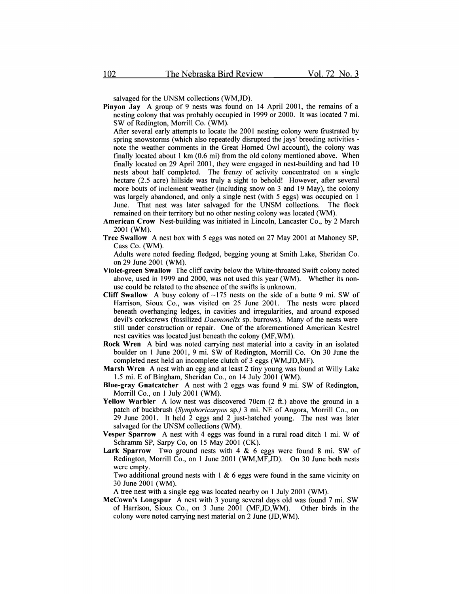salvaged for the UNSM collections (WM,JD).

Pinyon Jay A group of 9 nests was found on 14 April 2001, the remains of a nesting colony that was probably occupied in 1999 or 2000. It was located 7 mi. SW of Redington, Morrill Co. (WM).

After several early attempts to locate the 2001 nesting colony were frustrated by spring snowstorms (which also repeatedly disrupted the jays' breeding activities note the weather comments in the Great Homed Owl account), the colony was finally located about  $1 \text{ km } (0.6 \text{ mi})$  from the old colony mentioned above. When finally located on 29 April 2001, they were engaged in nest-building and had 10 nests about half completed. The frenzy of activity concentrated on a single hectare (2.5 acre) hillside was truly a sight to behold! However, after several more bouts of inclement weather (including snow on 3 and 19 May), the colony was largely abandoned, and only a single nest (with 5 eggs) was occupied on 1 June. That nest was later salvaged for the UNSM collections. The flock remained on their territory but no other nesting colony was located (WM).

- American Crow Nest-building was initiated in Lincoln, Lancaster Co., by 2 March 2001 (WM).
- Tree Swallow A nest box with 5 eggs was noted on 27 May 2001 at Mahoney SP, Cass Co. (WM).

Adults were noted feeding fledged, begging young at Smith Lake, Sheridan Co. on 29 June 2001 (WM).

- Violet-green Swallow The cliff cavity below the White-throated Swift colony noted above, used in 1999 and 2000, was not used this year (WM). Whether its nonuse could be related to the absence of the swifts is unknown.
- Cliff Swallow A busy colony of  $\sim$ 175 nests on the side of a butte 9 mi. SW of Harrison, Sioux Co., was visited on 25 June 2001. The nests were placed beneath overhanging ledges, in cavities and irregularities, and around exposed devil's corkscrews (fossilized *Daemonelix* sp. burrows). Many of the nests were still under construction or repair. One of the aforementioned American Kestrel nest cavities was located just beneath the colony (MF,WM).
- Rock Wren A bird was noted carrying nest material into a cavity in an isolated boulder on 1 June 2001, 9 mi. SW of Redington, Morrill Co. On 30 June the completed nest held an incomplete clutch of 3 eggs (WM,JD,MF).
- Marsh Wren A nest with an egg and at least 2 tiny young was found at Willy Lake 1.5 mi. E of Bingham, Sheridan Co., on 14 July 2001 (WM).
- Blue-gray Gnatcatcher A nest with 2 eggs was found 9 mi. SW of Redington, Morrill Co., on 1 July 2001 (WM).
- Yellow Warbler A low nest was discovered 70cm (2 ft.) above the ground in a patch of buckbrush *(Symphoricarpos* sp.) 3 mi. NE of Angora, Morrill Co., on 29 June 2001. It held 2 eggs and 2 just-hatched young. The nest was later salvaged for the UNSM collections (WM).
- Vesper Sparrow A nest with 4 eggs was found in a rural road ditch 1 mi. W of Schramm SP, Sarpy Co, on 15 May 2001 (CK).
- Lark Sparrow Two ground nests with 4 & 6 eggs were found 8 mi. SW of Redington, Morrill Co., on 1 June 2001 (WM,MF,JD). On 30 June both nests were empty.

Two additional ground nests with  $1 \& 6$  eggs were found in the same vicinity on 30 June 2001 (WM).

A tree nest with a single egg was located nearby on 1 July 2001 (WM).

McCown's Longspur A nest with 3 young several days old was found 7 mi. SW of Harrison, Sioux Co., on 3 June 2001 (MF,JD,WM). Other birds in the colony were noted carrying nest material on 2 June (JD,WM).